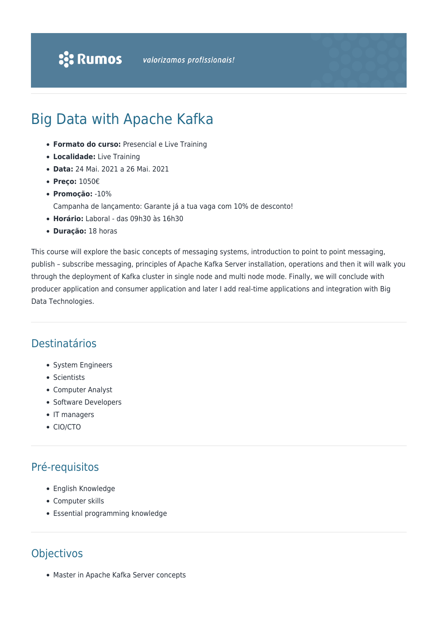# Big Data with Apache Kafka

- **Formato do curso:** Presencial e Live Training
- **Localidade:** Live Training
- **Data:** 24 Mai. 2021 a 26 Mai. 2021
- **Preço:** 1050€
- **Promoção:** -10%
	- Campanha de lançamento: Garante já a tua vaga com 10% de desconto!
- **Horário:** Laboral das 09h30 às 16h30
- **Duração:** 18 horas

This course will explore the basic concepts of messaging systems, introduction to point to point messaging, publish – subscribe messaging, principles of Apache Kafka Server installation, operations and then it will walk you through the deployment of Kafka cluster in single node and multi node mode. Finally, we will conclude with producer application and consumer application and later I add real-time applications and integration with Big Data Technologies.

#### Destinatários

- System Engineers
- Scientists
- Computer Analyst
- Software Developers
- IT managers
- CIO/CTO

## Pré-requisitos

- English Knowledge
- Computer skills
- Essential programming knowledge

## Objectivos

Master in Apache Kafka Server concepts